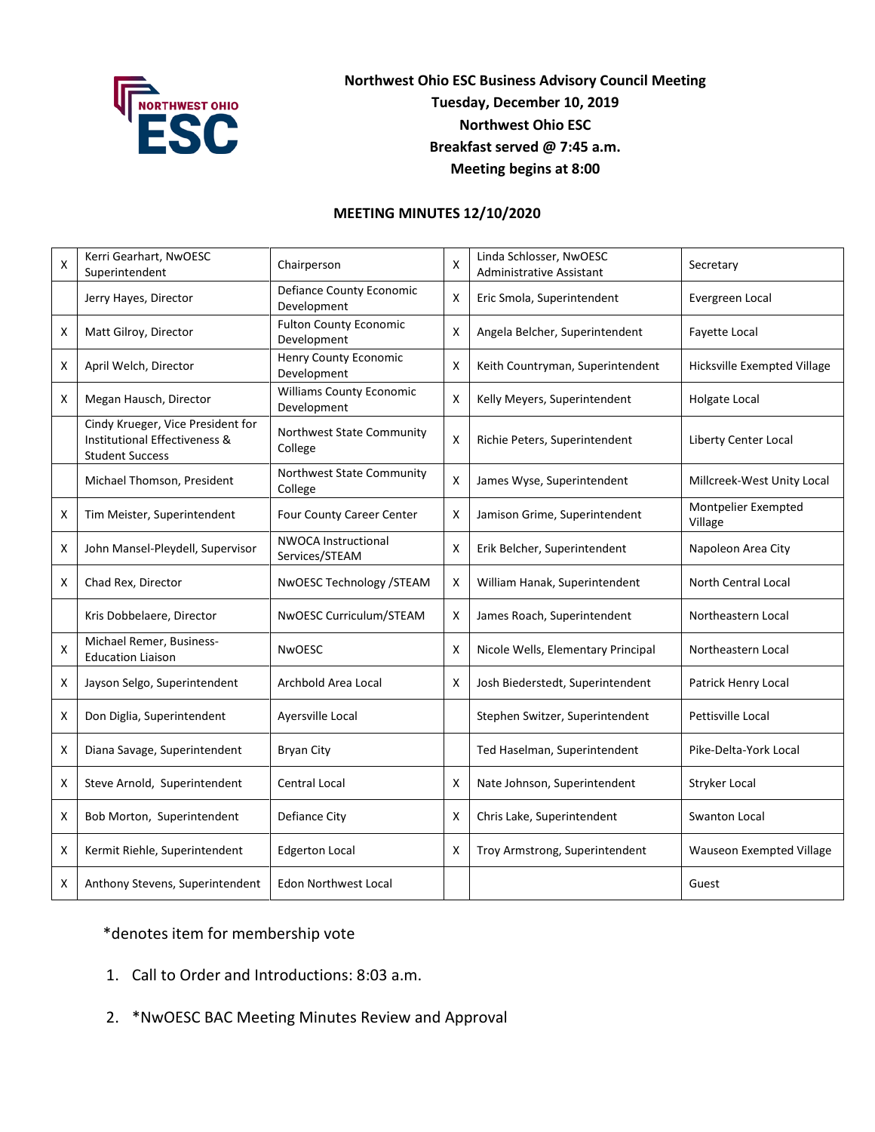

## **Northwest Ohio ESC Business Advisory Council Meeting Tuesday, December 10, 2019 Northwest Ohio ESC Breakfast served @ 7:45 a.m. Meeting begins at 8:00**

## **MEETING MINUTES 12/10/2020**

| X | Kerri Gearhart, NwOESC<br>Superintendent                                                     | Chairperson                                    | X | Linda Schlosser, NwOESC<br><b>Administrative Assistant</b> | Secretary                      |
|---|----------------------------------------------------------------------------------------------|------------------------------------------------|---|------------------------------------------------------------|--------------------------------|
|   | Jerry Hayes, Director                                                                        | Defiance County Economic<br>Development        | X | Eric Smola, Superintendent                                 | Evergreen Local                |
| X | Matt Gilroy, Director                                                                        | <b>Fulton County Economic</b><br>Development   | X | Angela Belcher, Superintendent                             | Fayette Local                  |
| X | April Welch, Director                                                                        | Henry County Economic<br>Development           | X | Keith Countryman, Superintendent                           | Hicksville Exempted Village    |
| X | Megan Hausch, Director                                                                       | <b>Williams County Economic</b><br>Development | X | Kelly Meyers, Superintendent                               | Holgate Local                  |
|   | Cindy Krueger, Vice President for<br>Institutional Effectiveness &<br><b>Student Success</b> | Northwest State Community<br>College           | X | Richie Peters, Superintendent                              | Liberty Center Local           |
|   | Michael Thomson, President                                                                   | Northwest State Community<br>College           | X | James Wyse, Superintendent                                 | Millcreek-West Unity Local     |
| х | Tim Meister, Superintendent                                                                  | Four County Career Center                      | Χ | Jamison Grime, Superintendent                              | Montpelier Exempted<br>Village |
| х | John Mansel-Pleydell, Supervisor                                                             | <b>NWOCA Instructional</b><br>Services/STEAM   | X | Erik Belcher, Superintendent                               | Napoleon Area City             |
| х | Chad Rex, Director                                                                           | NwOESC Technology /STEAM                       | X | William Hanak, Superintendent                              | North Central Local            |
|   | Kris Dobbelaere, Director                                                                    | NwOESC Curriculum/STEAM                        | X | James Roach, Superintendent                                | Northeastern Local             |
| X | Michael Remer, Business-<br><b>Education Liaison</b>                                         | <b>NwOESC</b>                                  | X | Nicole Wells, Elementary Principal                         | Northeastern Local             |
| X | Jayson Selgo, Superintendent                                                                 | Archbold Area Local                            | X | Josh Biederstedt, Superintendent                           | Patrick Henry Local            |
| X | Don Diglia, Superintendent                                                                   | Ayersville Local                               |   | Stephen Switzer, Superintendent                            | Pettisville Local              |
| X | Diana Savage, Superintendent                                                                 | <b>Bryan City</b>                              |   | Ted Haselman, Superintendent                               | Pike-Delta-York Local          |
| X | Steve Arnold, Superintendent                                                                 | <b>Central Local</b>                           | X | Nate Johnson, Superintendent                               | Stryker Local                  |
| X | Bob Morton, Superintendent                                                                   | Defiance City                                  | X | Chris Lake, Superintendent                                 | Swanton Local                  |
| X | Kermit Riehle, Superintendent                                                                | <b>Edgerton Local</b>                          | X | Troy Armstrong, Superintendent                             | Wauseon Exempted Village       |
| X | Anthony Stevens, Superintendent                                                              | <b>Edon Northwest Local</b>                    |   |                                                            | Guest                          |

## \*denotes item for membership vote

- 1. Call to Order and Introductions: 8:03 a.m.
- 2. \*NwOESC BAC Meeting Minutes Review and Approval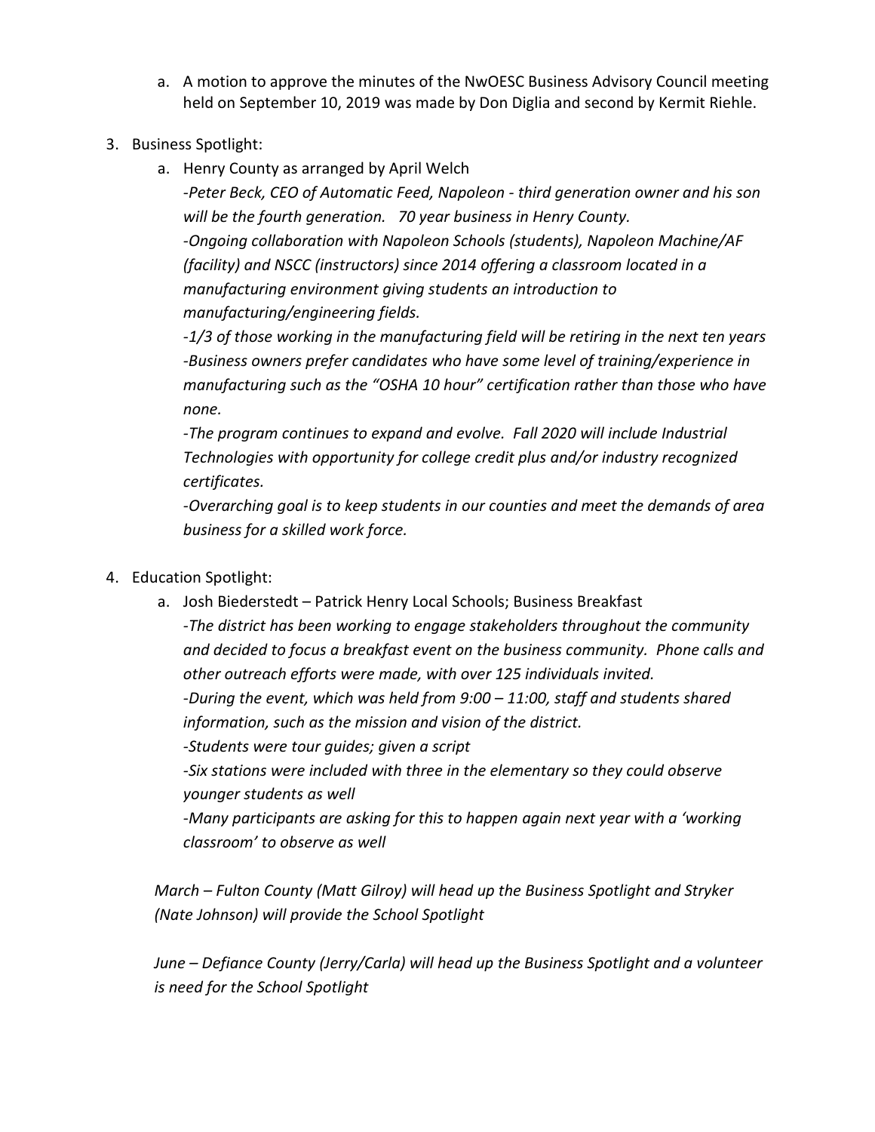- a. A motion to approve the minutes of the NwOESC Business Advisory Council meeting held on September 10, 2019 was made by Don Diglia and second by Kermit Riehle.
- 3. Business Spotlight:
	- a. Henry County as arranged by April Welch

*-Peter Beck, CEO of Automatic Feed, Napoleon - third generation owner and his son will be the fourth generation. 70 year business in Henry County. -Ongoing collaboration with Napoleon Schools (students), Napoleon Machine/AF (facility) and NSCC (instructors) since 2014 offering a classroom located in a manufacturing environment giving students an introduction to manufacturing/engineering fields.* 

*-1/3 of those working in the manufacturing field will be retiring in the next ten years -Business owners prefer candidates who have some level of training/experience in manufacturing such as the "OSHA 10 hour" certification rather than those who have none.* 

*-The program continues to expand and evolve. Fall 2020 will include Industrial Technologies with opportunity for college credit plus and/or industry recognized certificates.* 

*-Overarching goal is to keep students in our counties and meet the demands of area business for a skilled work force.*

- 4. Education Spotlight:
	- a. Josh Biederstedt Patrick Henry Local Schools; Business Breakfast *-The district has been working to engage stakeholders throughout the community and decided to focus a breakfast event on the business community. Phone calls and other outreach efforts were made, with over 125 individuals invited. -During the event, which was held from 9:00 – 11:00, staff and students shared information, such as the mission and vision of the district. -Students were tour guides; given a script -Six stations were included with three in the elementary so they could observe younger students as well -Many participants are asking for this to happen again next year with a 'working classroom' to observe as well*

*March – Fulton County (Matt Gilroy) will head up the Business Spotlight and Stryker (Nate Johnson) will provide the School Spotlight*

*June – Defiance County (Jerry/Carla) will head up the Business Spotlight and a volunteer is need for the School Spotlight*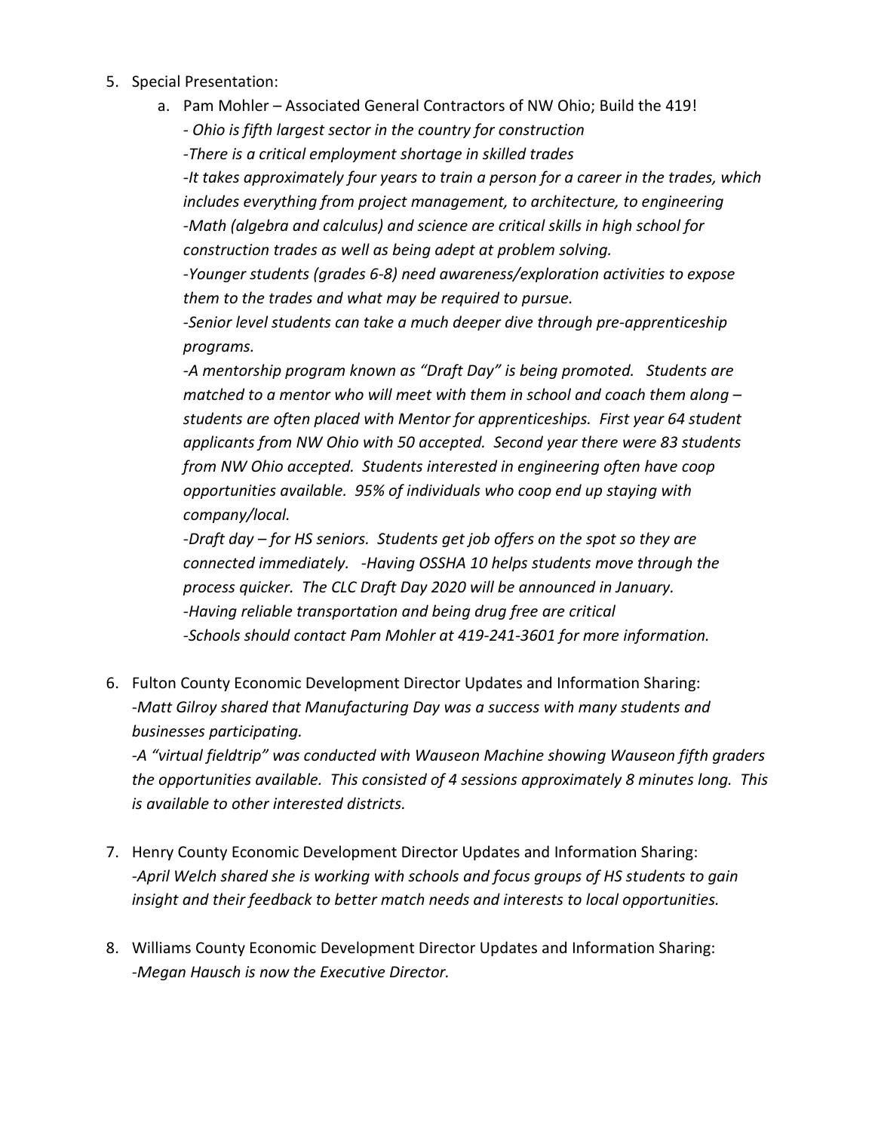- 5. Special Presentation:
	- a. Pam Mohler Associated General Contractors of NW Ohio; Build the 419!

*- Ohio is fifth largest sector in the country for construction*

*-There is a critical employment shortage in skilled trades*

*-It takes approximately four years to train a person for a career in the trades, which includes everything from project management, to architecture, to engineering -Math (algebra and calculus) and science are critical skills in high school for construction trades as well as being adept at problem solving.* 

*-Younger students (grades 6-8) need awareness/exploration activities to expose them to the trades and what may be required to pursue.*

*-Senior level students can take a much deeper dive through pre-apprenticeship programs.* 

*-A mentorship program known as "Draft Day" is being promoted. Students are matched to a mentor who will meet with them in school and coach them along – students are often placed with Mentor for apprenticeships. First year 64 student applicants from NW Ohio with 50 accepted. Second year there were 83 students from NW Ohio accepted. Students interested in engineering often have coop opportunities available. 95% of individuals who coop end up staying with company/local.*

*-Draft day – for HS seniors. Students get job offers on the spot so they are connected immediately. -Having OSSHA 10 helps students move through the process quicker. The CLC Draft Day 2020 will be announced in January. -Having reliable transportation and being drug free are critical -Schools should contact Pam Mohler at 419-241-3601 for more information.*

6. Fulton County Economic Development Director Updates and Information Sharing: *-Matt Gilroy shared that Manufacturing Day was a success with many students and businesses participating.*

*-A "virtual fieldtrip" was conducted with Wauseon Machine showing Wauseon fifth graders the opportunities available. This consisted of 4 sessions approximately 8 minutes long. This is available to other interested districts.* 

- 7. Henry County Economic Development Director Updates and Information Sharing: *-April Welch shared she is working with schools and focus groups of HS students to gain insight and their feedback to better match needs and interests to local opportunities.*
- 8. Williams County Economic Development Director Updates and Information Sharing: *-Megan Hausch is now the Executive Director.*